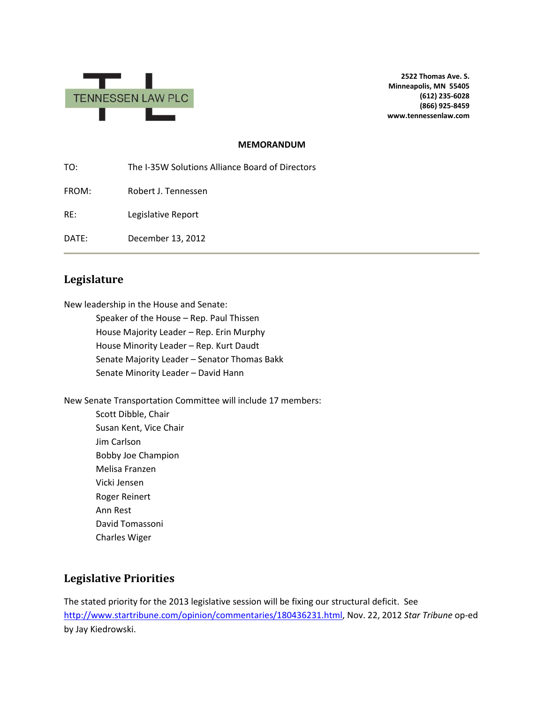

**2522 Thomas Ave. S. Minneapolis, MN 55405 (612) 235-6028 (866) 925-8459 www.tennessenlaw.com**

#### **MEMORANDUM**

TO: The I-35W Solutions Alliance Board of Directors FROM: Robert J. Tennessen RE: Legislative Report DATE: December 13, 2012

## **Legislature**

New leadership in the House and Senate:

Speaker of the House – Rep. Paul Thissen House Majority Leader – Rep. Erin Murphy House Minority Leader – Rep. Kurt Daudt Senate Majority Leader – Senator Thomas Bakk Senate Minority Leader – David Hann

New Senate Transportation Committee will include 17 members:

Scott Dibble, Chair Susan Kent, Vice Chair Jim Carlson Bobby Joe Champion Melisa Franzen Vicki Jensen Roger Reinert Ann Rest David Tomassoni Charles Wiger

### **Legislative Priorities**

The stated priority for the 2013 legislative session will be fixing our structural deficit. See [http://www.startribune.com/opinion/commentaries/180436231.html,](http://www.startribune.com/opinion/commentaries/180436231.html) Nov. 22, 2012 *Star Tribune* op-ed by Jay Kiedrowski.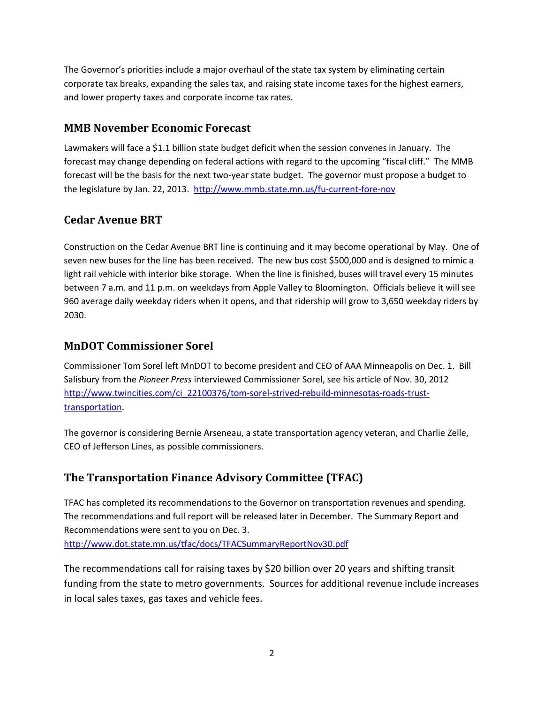The Governor's priorities include a major overhaul of the state tax system by eliminating certain corporate tax breaks, expanding the sales tax, and raising state income taxes for the highest earners, and lower property taxes and corporate income tax rates.

### **MMB November Economic Forecast**

Lawmakers will face a \$1.1 billion state budget deficit when the session convenes in January. The forecast may change depending on federal actions with regard to the upcoming "fiscal cliff." The MMB forecast will be the basis for the next two-year state budget. The governor must propose a budget to the legislature by Jan. 22, 2013. <http://www.mmb.state.mn.us/fu-current-fore-nov>

## **Cedar Avenue BRT**

Construction on the Cedar Avenue BRT line is continuing and it may become operational by May. One of seven new buses for the line has been received. The new bus cost \$500,000 and is designed to mimic a light rail vehicle with interior bike storage. When the line is finished, buses will travel every 15 minutes between 7 a.m. and 11 p.m. on weekdays from Apple Valley to Bloomington. Officials believe it will see 960 average daily weekday riders when it opens, and that ridership will grow to 3,650 weekday riders by 2030.

#### **MnDOT Commissioner Sorel**

Commissioner Tom Sorel left MnDOT to become president and CEO of AAA Minneapolis on Dec. 1. Bill Salisbury from the *Pioneer Press* interviewed Commissioner Sorel, see his article of Nov. 30, 2012 [http://www.twincities.com/ci\\_22100376/tom-sorel-strived-rebuild-minnesotas-roads-trust](http://www.twincities.com/ci_22100376/tom-sorel-strived-rebuild-minnesotas-roads-trust-transportation)[transportation.](http://www.twincities.com/ci_22100376/tom-sorel-strived-rebuild-minnesotas-roads-trust-transportation)

The governor is considering Bernie Arseneau, a state transportation agency veteran, and Charlie Zelle, CEO of Jefferson Lines, as possible commissioners.

# **The Transportation Finance Advisory Committee (TFAC)**

TFAC has completed its recommendations to the Governor on transportation revenues and spending. The recommendations and full report will be released later in December. The Summary Report and Recommendations were sent to you on Dec. 3. <http://www.dot.state.mn.us/tfac/docs/TFACSummaryReportNov30.pdf>

The recommendations call for raising taxes by \$20 billion over 20 years and shifting transit funding from the state to metro governments. Sources for additional revenue include increases in local sales taxes, gas taxes and vehicle fees.